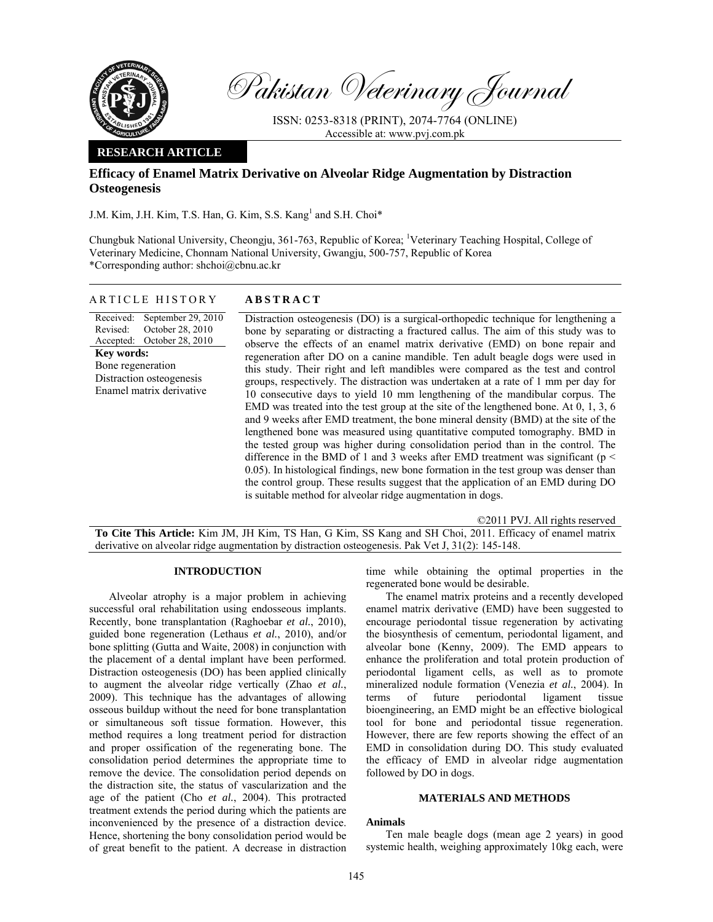

Pakistan Veterinary Journal

ISSN: 0253-8318 (PRINT), 2074-7764 (ONLINE) Accessible at: www.pvj.com.pk

## **RESEARCH ARTICLE**

# **Efficacy of Enamel Matrix Derivative on Alveolar Ridge Augmentation by Distraction Osteogenesis**

J.M. Kim, J.H. Kim, T.S. Han, G. Kim, S.S. Kang<sup>1</sup> and S.H. Choi\*

Chungbuk National University, Cheongju, 361-763, Republic of Korea; <sup>1</sup>Veterinary Teaching Hospital, College of Veterinary Medicine, Chonnam National University, Gwangju, 500-757, Republic of Korea \*Corresponding author: shchoi@cbnu.ac.kr

## ARTICLE HISTORY **ABSTRACT**

Received: Revised: Accepted: October 28, 2010 September 29, 2010 October 28, 2010 **Key words:**  Bone regeneration Distraction osteogenesis Enamel matrix derivative

Distraction osteogenesis (DO) is a surgical-orthopedic technique for lengthening a bone by separating or distracting a fractured callus. The aim of this study was to observe the effects of an enamel matrix derivative (EMD) on bone repair and regeneration after DO on a canine mandible. Ten adult beagle dogs were used in this study. Their right and left mandibles were compared as the test and control groups, respectively. The distraction was undertaken at a rate of 1 mm per day for 10 consecutive days to yield 10 mm lengthening of the mandibular corpus. The EMD was treated into the test group at the site of the lengthened bone. At 0, 1, 3, 6 and 9 weeks after EMD treatment, the bone mineral density (BMD) at the site of the lengthened bone was measured using quantitative computed tomography. BMD in the tested group was higher during consolidation period than in the control. The difference in the BMD of 1 and 3 weeks after EMD treatment was significant ( $p <$ 0.05). In histological findings, new bone formation in the test group was denser than the control group. These results suggest that the application of an EMD during DO is suitable method for alveolar ridge augmentation in dogs.

©2011 PVJ. All rights reserved **To Cite This Article:** Kim JM, JH Kim, TS Han, G Kim, SS Kang and SH Choi, 2011. Efficacy of enamel matrix derivative on alveolar ridge augmentation by distraction osteogenesis. Pak Vet J, 31(2): 145-148.

#### **INTRODUCTION**

Alveolar atrophy is a major problem in achieving successful oral rehabilitation using endosseous implants. Recently, bone transplantation (Raghoebar *et al.*, 2010), guided bone regeneration (Lethaus *et al.*, 2010), and/or bone splitting (Gutta and Waite, 2008) in conjunction with the placement of a dental implant have been performed. Distraction osteogenesis (DO) has been applied clinically to augment the alveolar ridge vertically (Zhao *et al.*, 2009). This technique has the advantages of allowing osseous buildup without the need for bone transplantation or simultaneous soft tissue formation. However, this method requires a long treatment period for distraction and proper ossification of the regenerating bone. The consolidation period determines the appropriate time to remove the device. The consolidation period depends on the distraction site, the status of vascularization and the age of the patient (Cho *et al.*, 2004). This protracted treatment extends the period during which the patients are inconvenienced by the presence of a distraction device. Hence, shortening the bony consolidation period would be of great benefit to the patient. A decrease in distraction

time while obtaining the optimal properties in the regenerated bone would be desirable.

The enamel matrix proteins and a recently developed enamel matrix derivative (EMD) have been suggested to encourage periodontal tissue regeneration by activating the biosynthesis of cementum, periodontal ligament, and alveolar bone (Kenny, 2009). The EMD appears to enhance the proliferation and total protein production of periodontal ligament cells, as well as to promote mineralized nodule formation (Venezia *et al.*, 2004). In terms of future periodontal ligament tissue bioengineering, an EMD might be an effective biological tool for bone and periodontal tissue regeneration. However, there are few reports showing the effect of an EMD in consolidation during DO. This study evaluated the efficacy of EMD in alveolar ridge augmentation followed by DO in dogs.

#### **MATERIALS AND METHODS**

## **Animals**

Ten male beagle dogs (mean age 2 years) in good systemic health, weighing approximately 10kg each, were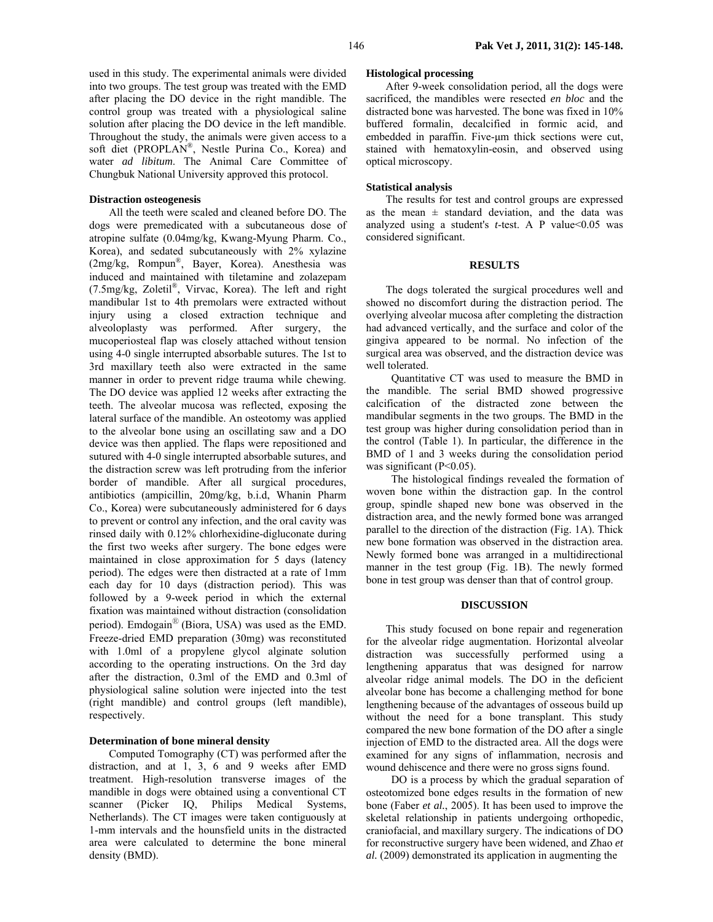used in this study. The experimental animals were divided into two groups. The test group was treated with the EMD after placing the DO device in the right mandible. The control group was treated with a physiological saline solution after placing the DO device in the left mandible. Throughout the study, the animals were given access to a soft diet (PROPLAN®, Nestle Purina Co., Korea) and water *ad libitum*. The Animal Care Committee of Chungbuk National University approved this protocol.

## **Distraction osteogenesis**

All the teeth were scaled and cleaned before DO. The dogs were premedicated with a subcutaneous dose of atropine sulfate (0.04mg/kg, Kwang-Myung Pharm. Co., Korea), and sedated subcutaneously with 2% xylazine (2mg/kg, Rompun®, Bayer, Korea). Anesthesia was induced and maintained with tiletamine and zolazepam (7.5mg/kg, Zoletil®, Virvac, Korea). The left and right mandibular 1st to 4th premolars were extracted without injury using a closed extraction technique and alveoloplasty was performed. After surgery, the mucoperiosteal flap was closely attached without tension using 4-0 single interrupted absorbable sutures. The 1st to 3rd maxillary teeth also were extracted in the same manner in order to prevent ridge trauma while chewing. The DO device was applied 12 weeks after extracting the teeth. The alveolar mucosa was reflected, exposing the lateral surface of the mandible. An osteotomy was applied to the alveolar bone using an oscillating saw and a DO device was then applied. The flaps were repositioned and sutured with 4-0 single interrupted absorbable sutures, and the distraction screw was left protruding from the inferior border of mandible. After all surgical procedures, antibiotics (ampicillin, 20mg/kg, b.i.d, Whanin Pharm Co., Korea) were subcutaneously administered for 6 days to prevent or control any infection, and the oral cavity was rinsed daily with 0.12% chlorhexidine-digluconate during the first two weeks after surgery. The bone edges were maintained in close approximation for 5 days (latency period). The edges were then distracted at a rate of 1mm each day for 10 days (distraction period). This was followed by a 9-week period in which the external fixation was maintained without distraction (consolidation period). Emdogain<sup>®</sup> (Biora, USA) was used as the EMD. Freeze-dried EMD preparation (30mg) was reconstituted with 1.0ml of a propylene glycol alginate solution according to the operating instructions. On the 3rd day after the distraction, 0.3ml of the EMD and 0.3ml of physiological saline solution were injected into the test (right mandible) and control groups (left mandible), respectively.

## **Determination of bone mineral density**

Computed Tomography (CT) was performed after the distraction, and at 1, 3, 6 and 9 weeks after EMD treatment. High-resolution transverse images of the mandible in dogs were obtained using a conventional CT scanner (Picker IQ, Philips Medical Systems, Netherlands). The CT images were taken contiguously at 1-mm intervals and the hounsfield units in the distracted area were calculated to determine the bone mineral density (BMD).

#### **Histological processing**

After 9-week consolidation period, all the dogs were sacrificed, the mandibles were resected *en bloc* and the distracted bone was harvested. The bone was fixed in 10% buffered formalin, decalcified in formic acid, and embedded in paraffin. Five-um thick sections were cut, stained with hematoxylin-eosin, and observed using optical microscopy.

## **Statistical analysis**

The results for test and control groups are expressed as the mean  $\pm$  standard deviation, and the data was analyzed using a student's *t*-test. A P value<0.05 was considered significant.

#### **RESULTS**

The dogs tolerated the surgical procedures well and showed no discomfort during the distraction period. The overlying alveolar mucosa after completing the distraction had advanced vertically, and the surface and color of the gingiva appeared to be normal. No infection of the surgical area was observed, and the distraction device was well tolerated.

 Quantitative CT was used to measure the BMD in the mandible. The serial BMD showed progressive calcification of the distracted zone between the mandibular segments in the two groups. The BMD in the test group was higher during consolidation period than in the control (Table 1). In particular, the difference in the BMD of 1 and 3 weeks during the consolidation period was significant (P<0.05).

 The histological findings revealed the formation of woven bone within the distraction gap. In the control group, spindle shaped new bone was observed in the distraction area, and the newly formed bone was arranged parallel to the direction of the distraction (Fig. 1A). Thick new bone formation was observed in the distraction area. Newly formed bone was arranged in a multidirectional manner in the test group (Fig. 1B). The newly formed bone in test group was denser than that of control group.

## **DISCUSSION**

This study focused on bone repair and regeneration for the alveolar ridge augmentation. Horizontal alveolar distraction was successfully performed using a lengthening apparatus that was designed for narrow alveolar ridge animal models. The DO in the deficient alveolar bone has become a challenging method for bone lengthening because of the advantages of osseous build up without the need for a bone transplant. This study compared the new bone formation of the DO after a single injection of EMD to the distracted area. All the dogs were examined for any signs of inflammation, necrosis and wound dehiscence and there were no gross signs found.

 DO is a process by which the gradual separation of osteotomized bone edges results in the formation of new bone (Faber *et al.*, 2005). It has been used to improve the skeletal relationship in patients undergoing orthopedic, craniofacial, and maxillary surgery. The indications of DO for reconstructive surgery have been widened, and Zhao *et al.* (2009) demonstrated its application in augmenting the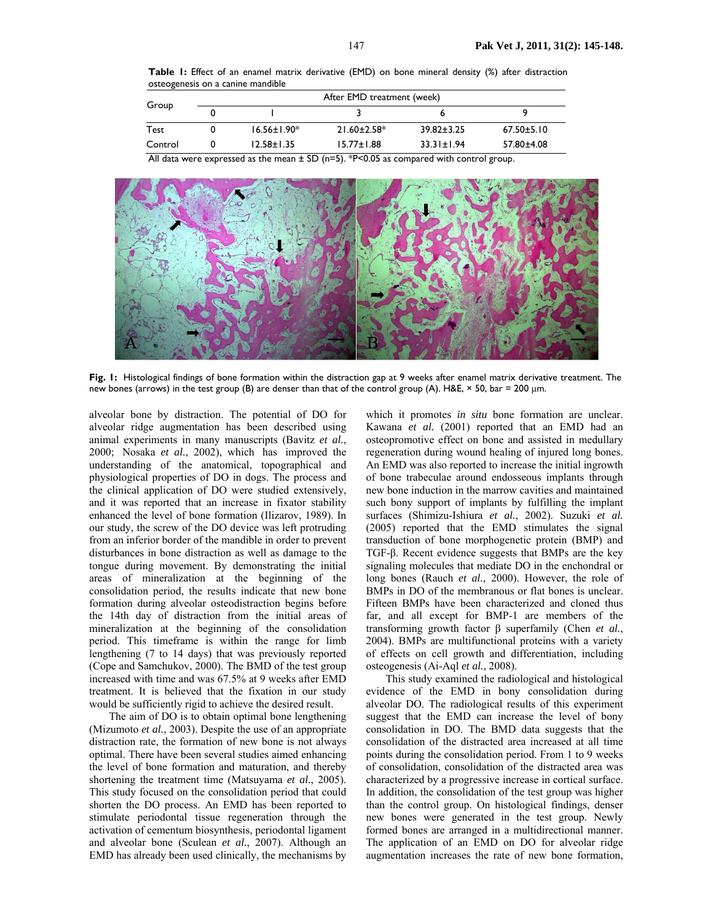**Table 1:** Effect of an enamel matrix derivative (EMD) on bone mineral density (%) after distraction osteogenesis on a canine mandible

| Group   | After EMD treatment (week) |                   |                    |                  |                  |
|---------|----------------------------|-------------------|--------------------|------------------|------------------|
|         |                            |                   |                    |                  | ۹                |
| Test    |                            | $16.56 \pm 1.90*$ | $21.60 \pm 2.58^*$ | $39.82 \pm 3.25$ | $67.50 \pm 5.10$ |
| Control |                            | $12.58 \pm 1.35$  | $15.77 \pm 1.88$   | $33.31 \pm 1.94$ | 57.80±4.08       |

All data were expressed as the mean  $\pm$  SD (n=5). \*P<0.05 as compared with control group.



**Fig. 1:** Histological findings of bone formation within the distraction gap at 9 weeks after enamel matrix derivative treatment. The new bones (arrows) in the test group (B) are denser than that of the control group (A). H&E,  $\times$  50, bar = 200 µm.

alveolar bone by distraction. The potential of DO for alveolar ridge augmentation has been described using animal experiments in many manuscripts (Bavitz *et al.*, 2000; Nosaka *et al.*, 2002), which has improved the understanding of the anatomical, topographical and physiological properties of DO in dogs. The process and the clinical application of DO were studied extensively, and it was reported that an increase in fixator stability enhanced the level of bone formation (Ilizarov, 1989). In our study, the screw of the DO device was left protruding from an inferior border of the mandible in order to prevent disturbances in bone distraction as well as damage to the tongue during movement. By demonstrating the initial areas of mineralization at the beginning of the consolidation period, the results indicate that new bone formation during alveolar osteodistraction begins before the 14th day of distraction from the initial areas of mineralization at the beginning of the consolidation period. This timeframe is within the range for limb lengthening (7 to 14 days) that was previously reported (Cope and Samchukov, 2000). The BMD of the test group increased with time and was 67.5% at 9 weeks after EMD treatment. It is believed that the fixation in our study would be sufficiently rigid to achieve the desired result.

The aim of DO is to obtain optimal bone lengthening (Mizumoto *et al.*, 2003). Despite the use of an appropriate distraction rate, the formation of new bone is not always optimal. There have been several studies aimed enhancing the level of bone formation and maturation, and thereby shortening the treatment time (Matsuyama *et al.*, 2005). This study focused on the consolidation period that could shorten the DO process. An EMD has been reported to stimulate periodontal tissue regeneration through the activation of cementum biosynthesis, periodontal ligament and alveolar bone (Sculean *et al.*, 2007). Although an EMD has already been used clinically, the mechanisms by

which it promotes *in situ* bone formation are unclear. Kawana *et al.* (2001) reported that an EMD had an osteopromotive effect on bone and assisted in medullary regeneration during wound healing of injured long bones. An EMD was also reported to increase the initial ingrowth of bone trabeculae around endosseous implants through new bone induction in the marrow cavities and maintained such bony support of implants by fulfilling the implant surfaces (Shimizu-Ishiura *et al.*, 2002). Suzuki *et al.* (2005) reported that the EMD stimulates the signal transduction of bone morphogenetic protein (BMP) and TGF-β. Recent evidence suggests that BMPs are the key signaling molecules that mediate DO in the enchondral or long bones (Rauch *et al.*, 2000). However, the role of BMPs in DO of the membranous or flat bones is unclear. Fifteen BMPs have been characterized and cloned thus far, and all except for BMP-1 are members of the transforming growth factor β superfamily (Chen *et al.*, 2004). BMPs are multifunctional proteins with a variety of effects on cell growth and differentiation, including osteogenesis (Ai-Aql *et al.*, 2008).

This study examined the radiological and histological evidence of the EMD in bony consolidation during alveolar DO. The radiological results of this experiment suggest that the EMD can increase the level of bony consolidation in DO. The BMD data suggests that the consolidation of the distracted area increased at all time points during the consolidation period. From 1 to 9 weeks of consolidation, consolidation of the distracted area was characterized by a progressive increase in cortical surface. In addition, the consolidation of the test group was higher than the control group. On histological findings, denser new bones were generated in the test group. Newly formed bones are arranged in a multidirectional manner. The application of an EMD on DO for alveolar ridge augmentation increases the rate of new bone formation,